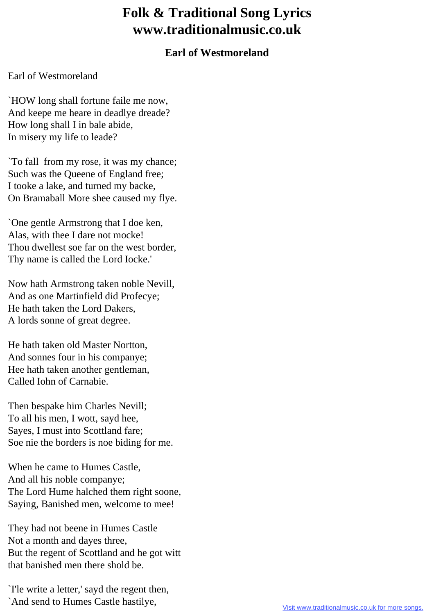## **Folk & Traditional Song Lyrics www.traditionalmusic.co.uk**

## **Earl of Westmoreland**

## Earl of Westmoreland

`HOW long shall fortune faile me now, And keepe me heare in deadlye dreade? How long shall I in bale abide, In misery my life to leade?

`To fall from my rose, it was my chance; Such was the Queene of England free; I tooke a lake, and turned my backe, On Bramaball More shee caused my flye.

`One gentle Armstrong that I doe ken, Alas, with thee I dare not mocke! Thou dwellest soe far on the west border, Thy name is called the Lord Iocke.'

Now hath Armstrong taken noble Nevill, And as one Martinfield did Profecye; He hath taken the Lord Dakers, A lords sonne of great degree.

He hath taken old Master Nortton, And sonnes four in his companye; Hee hath taken another gentleman, Called Iohn of Carnabie.

Then bespake him Charles Nevill; To all his men, I wott, sayd hee, Sayes, I must into Scottland fare; Soe nie the borders is noe biding for me.

When he came to Humes Castle, And all his noble companye; The Lord Hume halched them right soone, Saying, Banished men, welcome to mee!

They had not beene in Humes Castle Not a month and dayes three, But the regent of Scottland and he got witt that banished men there shold be.

`I'le write a letter,' sayd the regent then, `And send to Humes Castle hastilye,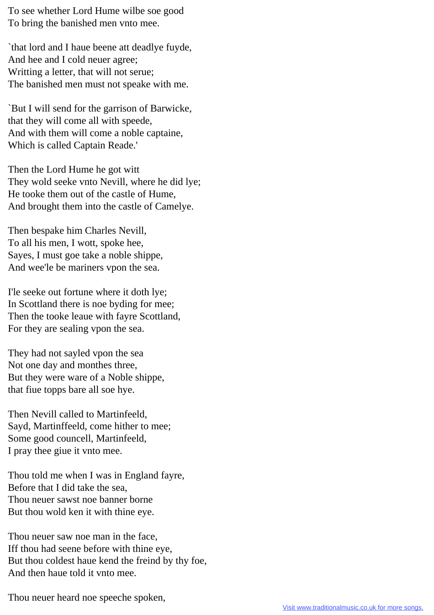To see whether Lord Hume wilbe soe good To bring the banished men vnto mee.

`that lord and I haue beene att deadlye fuyde, And hee and I cold neuer agree; Writting a letter, that will not serue; The banished men must not speake with me.

`But I will send for the garrison of Barwicke, that they will come all with speede, And with them will come a noble captaine, Which is called Captain Reade.'

Then the Lord Hume he got witt They wold seeke vnto Nevill, where he did lye; He tooke them out of the castle of Hume, And brought them into the castle of Camelye.

Then bespake him Charles Nevill, To all his men, I wott, spoke hee, Sayes, I must goe take a noble shippe, And wee'le be mariners vpon the sea.

I'le seeke out fortune where it doth lye; In Scottland there is noe byding for mee; Then the tooke leaue with fayre Scottland, For they are sealing vpon the sea.

They had not sayled vpon the sea Not one day and monthes three, But they were ware of a Noble shippe, that fiue topps bare all soe hye.

Then Nevill called to Martinfeeld, Sayd, Martinffeeld, come hither to mee; Some good councell, Martinfeeld, I pray thee giue it vnto mee.

Thou told me when I was in England fayre, Before that I did take the sea, Thou neuer sawst noe banner borne But thou wold ken it with thine eye.

Thou neuer saw noe man in the face, Iff thou had seene before with thine eye, But thou coldest haue kend the freind by thy foe, And then haue told it vnto mee.

Thou neuer heard noe speeche spoken,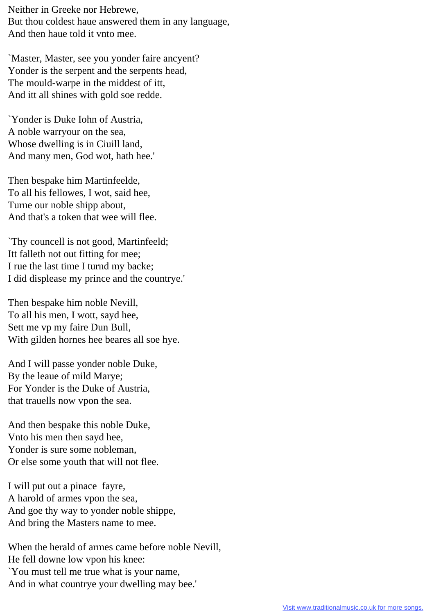Neither in Greeke nor Hebrewe, But thou coldest haue answered them in any language, And then haue told it vnto mee.

`Master, Master, see you yonder faire ancyent? Yonder is the serpent and the serpents head, The mould-warpe in the middest of itt, And itt all shines with gold soe redde.

`Yonder is Duke Iohn of Austria, A noble warryour on the sea, Whose dwelling is in Ciuill land, And many men, God wot, hath hee.'

Then bespake him Martinfeelde, To all his fellowes, I wot, said hee, Turne our noble shipp about, And that's a token that wee will flee.

`Thy councell is not good, Martinfeeld; Itt falleth not out fitting for mee; I rue the last time I turnd my backe; I did displease my prince and the countrye.'

Then bespake him noble Nevill, To all his men, I wott, sayd hee, Sett me vp my faire Dun Bull, With gilden hornes hee beares all soe hye.

And I will passe yonder noble Duke, By the leaue of mild Marye; For Yonder is the Duke of Austria, that trauells now vpon the sea.

And then bespake this noble Duke, Vnto his men then sayd hee, Yonder is sure some nobleman, Or else some youth that will not flee.

I will put out a pinace fayre, A harold of armes vpon the sea, And goe thy way to yonder noble shippe, And bring the Masters name to mee.

When the herald of armes came before noble Nevill, He fell downe low vpon his knee: `You must tell me true what is your name, And in what countrye your dwelling may bee.'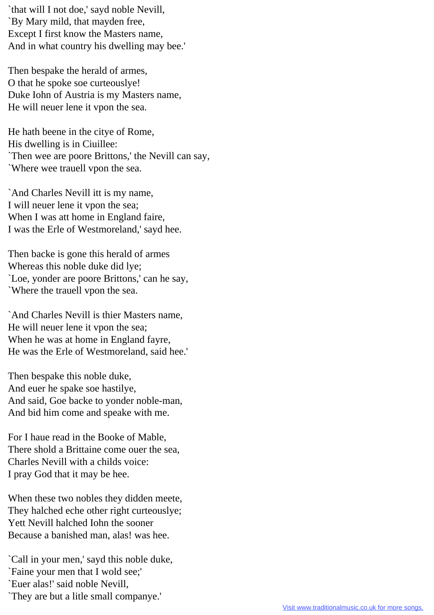`that will I not doe,' sayd noble Nevill, `By Mary mild, that mayden free, Except I first know the Masters name, And in what country his dwelling may bee.'

Then bespake the herald of armes, O that he spoke soe curteouslye! Duke Iohn of Austria is my Masters name, He will neuer lene it vpon the sea.

He hath beene in the citye of Rome, His dwelling is in Ciuillee: `Then wee are poore Brittons,' the Nevill can say, `Where wee trauell vpon the sea.

`And Charles Nevill itt is my name, I will neuer lene it vpon the sea; When I was att home in England faire, I was the Erle of Westmoreland,' sayd hee.

Then backe is gone this herald of armes Whereas this noble duke did lye; `Loe, yonder are poore Brittons,' can he say, `Where the trauell vpon the sea.

`And Charles Nevill is thier Masters name, He will neuer lene it vpon the sea; When he was at home in England fayre, He was the Erle of Westmoreland, said hee.'

Then bespake this noble duke, And euer he spake soe hastilye, And said, Goe backe to yonder noble-man, And bid him come and speake with me.

For I haue read in the Booke of Mable, There shold a Brittaine come ouer the sea, Charles Nevill with a childs voice: I pray God that it may be hee.

When these two nobles they didden meete, They halched eche other right curteouslye; Yett Nevill halched Iohn the sooner Because a banished man, alas! was hee.

`Call in your men,' sayd this noble duke,

- `Faine your men that I wold see;'
- `Euer alas!' said noble Nevill,
- `They are but a litle small companye.'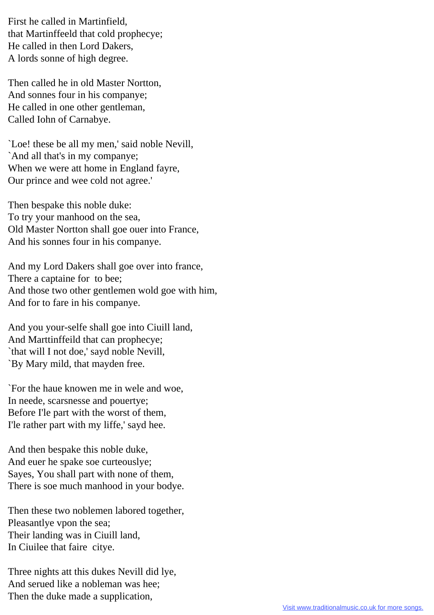First he called in Martinfield, that Martinffeeld that cold prophecye; He called in then Lord Dakers, A lords sonne of high degree.

Then called he in old Master Nortton, And sonnes four in his companye; He called in one other gentleman, Called Iohn of Carnabye.

`Loe! these be all my men,' said noble Nevill, `And all that's in my companye; When we were att home in England fayre, Our prince and wee cold not agree.'

Then bespake this noble duke: To try your manhood on the sea, Old Master Nortton shall goe ouer into France, And his sonnes four in his companye.

And my Lord Dakers shall goe over into france, There a captaine for to bee; And those two other gentlemen wold goe with him, And for to fare in his companye.

And you your-selfe shall goe into Ciuill land, And Marttinffeild that can prophecye; `that will I not doe,' sayd noble Nevill, `By Mary mild, that mayden free.

`For the haue knowen me in wele and woe, In neede, scarsnesse and pouertye; Before I'le part with the worst of them, I'le rather part with my liffe,' sayd hee.

And then bespake this noble duke, And euer he spake soe curteouslye; Sayes, You shall part with none of them, There is soe much manhood in your bodye.

Then these two noblemen labored together, Pleasantlye vpon the sea; Their landing was in Ciuill land, In Ciuilee that faire citye.

Three nights att this dukes Nevill did lye, And serued like a nobleman was hee; Then the duke made a supplication,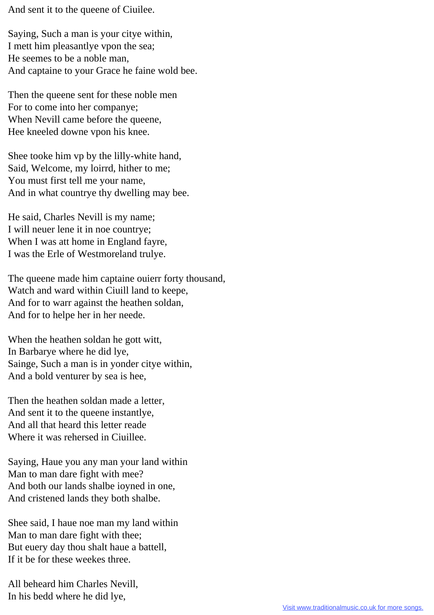And sent it to the queene of Ciuilee.

Saying, Such a man is your citye within, I mett him pleasantlye vpon the sea; He seemes to be a noble man, And captaine to your Grace he faine wold bee.

Then the queene sent for these noble men For to come into her companye; When Nevill came before the queene, Hee kneeled downe vpon his knee.

Shee tooke him vp by the lilly-white hand, Said, Welcome, my loirrd, hither to me; You must first tell me your name, And in what countrye thy dwelling may bee.

He said, Charles Nevill is my name; I will neuer lene it in noe countrye; When I was att home in England fayre, I was the Erle of Westmoreland trulye.

The queene made him captaine ouierr forty thousand, Watch and ward within Ciuill land to keepe, And for to warr against the heathen soldan, And for to helpe her in her neede.

When the heathen soldan he gott witt, In Barbarye where he did lye, Sainge, Such a man is in yonder citye within, And a bold venturer by sea is hee,

Then the heathen soldan made a letter, And sent it to the queene instantlye, And all that heard this letter reade Where it was rehersed in Ciuillee.

Saying, Haue you any man your land within Man to man dare fight with mee? And both our lands shalbe ioyned in one, And cristened lands they both shalbe.

Shee said, I haue noe man my land within Man to man dare fight with thee; But euery day thou shalt haue a battell, If it be for these weekes three.

All beheard him Charles Nevill, In his bedd where he did lye,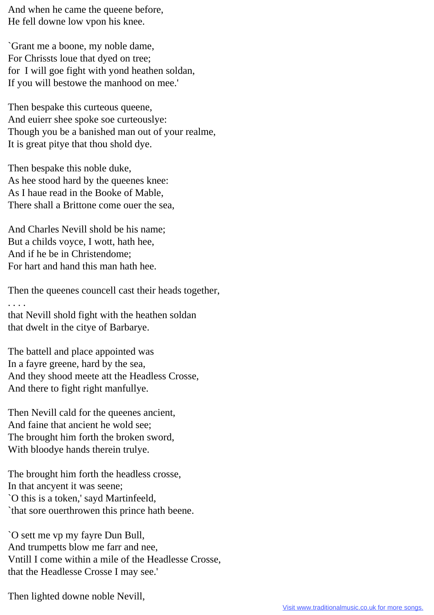And when he came the queene before, He fell downe low vpon his knee.

`Grant me a boone, my noble dame, For Chrissts loue that dyed on tree; for I will goe fight with yond heathen soldan, If you will bestowe the manhood on mee.'

Then bespake this curteous queene, And euierr shee spoke soe curteouslye: Though you be a banished man out of your realme, It is great pitye that thou shold dye.

Then bespake this noble duke, As hee stood hard by the queenes knee: As I haue read in the Booke of Mable, There shall a Brittone come ouer the sea,

And Charles Nevill shold be his name; But a childs voyce, I wott, hath hee, And if he be in Christendome; For hart and hand this man hath hee.

Then the queenes councell cast their heads together, . . . .

that Nevill shold fight with the heathen soldan that dwelt in the citye of Barbarye.

The battell and place appointed was In a fayre greene, hard by the sea, And they shood meete att the Headless Crosse, And there to fight right manfullye.

Then Nevill cald for the queenes ancient, And faine that ancient he wold see; The brought him forth the broken sword, With bloodye hands therein trulye.

The brought him forth the headless crosse, In that ancyent it was seene; `O this is a token,' sayd Martinfeeld, `that sore ouerthrowen this prince hath beene.

`O sett me vp my fayre Dun Bull, And trumpetts blow me farr and nee, Vntill I come within a mile of the Headlesse Crosse, that the Headlesse Crosse I may see.'

Then lighted downe noble Nevill,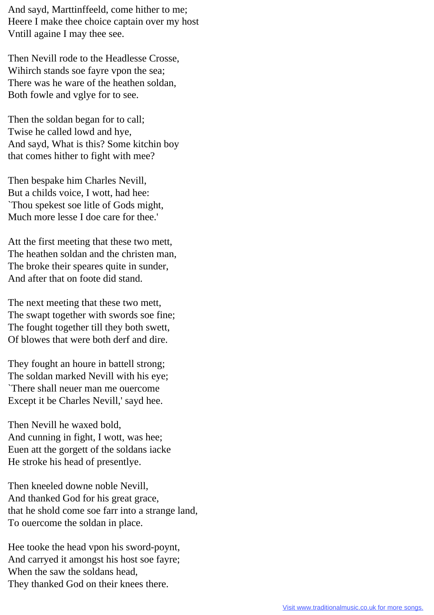And sayd, Marttinffeeld, come hither to me; Heere I make thee choice captain over my host Vntill againe I may thee see.

Then Nevill rode to the Headlesse Crosse, Wihirch stands soe fayre vpon the sea; There was he ware of the heathen soldan, Both fowle and vglye for to see.

Then the soldan began for to call; Twise he called lowd and hye, And sayd, What is this? Some kitchin boy that comes hither to fight with mee?

Then bespake him Charles Nevill, But a childs voice, I wott, had hee: `Thou spekest soe litle of Gods might, Much more lesse I doe care for thee.'

Att the first meeting that these two mett, The heathen soldan and the christen man, The broke their speares quite in sunder, And after that on foote did stand.

The next meeting that these two mett, The swapt together with swords soe fine; The fought together till they both swett, Of blowes that were both derf and dire.

They fought an houre in battell strong; The soldan marked Nevill with his eye; `There shall neuer man me ouercome Except it be Charles Nevill,' sayd hee.

Then Nevill he waxed bold, And cunning in fight, I wott, was hee; Euen att the gorgett of the soldans iacke He stroke his head of presentlye.

Then kneeled downe noble Nevill, And thanked God for his great grace, that he shold come soe farr into a strange land, To ouercome the soldan in place.

Hee tooke the head vpon his sword-poynt, And carryed it amongst his host soe fayre; When the saw the soldans head, They thanked God on their knees there.